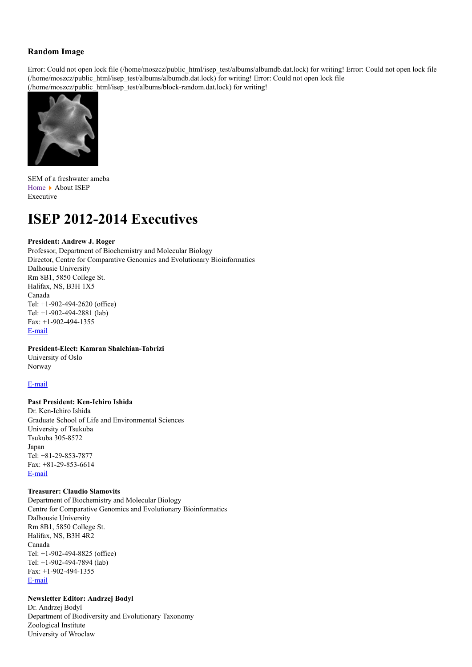# **Random Image**

Error: Could not open lock file (/home/moszcz/public\_html/isep\_test/albums/albumdb.dat.lock) for writing! Error: Could not open lock file (/home/moszcz/public\_html/isep\_test/albums/albumdb.dat.lock) for writing! Error: Could not open lock file (/home/moszcz/public\_html/isep\_test/albums/block-random.dat.lock) for writing!



SEM of a freshwater ameba [Home](http://isepsociety.com/) • About ISEP Executive

# **ISEP 2012-2014 Executives**

# **President: Andrew J. Roger**

Professor, Department of Biochemistry and Molecular Biology Director, Centre for Comparative Genomics and Evolutionary Bioinformatics Dalhousie University Rm 8B1, 5850 College St. Halifax, NS, B3H 1X5 Canada Tel: +1-902-494-2620 (office) Tel: +1-902-494-2881 (lab) Fax: +1-902-494-1355 [E-mail](http://isepsociety.com/index.php?option=com_contact&view=contact&id=19:andrew-roger&catid=12:contacts&Itemid=83)

## **President-Elect: Kamran Shalchian-Tabrizi**

University of Oslo Norway

#### [E-mail](http://isepsociety.com/index.php?option=com_contact&view=contact&id=21%3Akamran-shalchian-tabrizi&catid=12%3Acontacts&Itemid=83)

# **Past President: Ken-Ichiro Ishida**

Dr. Ken-Ichiro Ishida Graduate School of Life and Environmental Sciences University of Tsukuba Tsukuba 305-8572 Japan Tel: +81-29-853-7877 Fax: +81-29-853-6614 [E-mail](http://isepsociety.com/index.php?option=com_contact&view=contact&id=12%3Aken-ishida&Itemid=83)

#### **Treasurer: Claudio Slamovits**

Department of Biochemistry and Molecular Biology Centre for Comparative Genomics and Evolutionary Bioinformatics Dalhousie University Rm 8B1, 5850 College St. Halifax, NS, B3H 4R2 Canada Tel: +1-902-494-8825 (office) Tel: +1-902-494-7894 (lab) Fax: +1-902-494-1355 [E-mail](http://isepsociety.com/index.php?option=com_contact&view=contact&id=22%3Aclaudio-slamovits&catid=12%3Acontacts&Itemid=83)

# **Newsletter Editor: Andrzej Bodyl**

Dr. Andrzej Bodyl Department of Biodiversity and Evolutionary Taxonomy Zoological Institute University of Wroclaw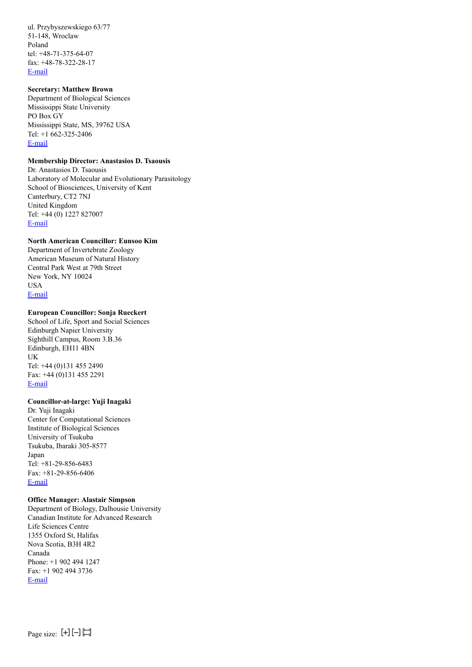ul. Przybyszewskiego 63/77 51-148, Wroclaw Poland tel: +48-71-375-64-07 fax: +48-78-322-28-17 [E-mail](http://isepsociety.com/index.php?option=com_contact&view=contact&id=8%3Aandrzej-bodyl&Itemid=83)

## **Secretary: Matthew Brown**

Department of Biological Sciences Mississippi State University PO Box GY Mississippi State, MS, 39762 USA Tel: +1 662-325-2406 [E-mail](http://isepsociety.com/index.php?option=com_contact&view=contact&id=24%3Amatthew-brown&catid=12%3Acontacts&Itemid=83)

# **Membership Director: Anastasios D. Tsaousis**

Dr. Anastasios D. Tsaousis Laboratory of Molecular and Evolutionary Parasitology School of Biosciences, University of Kent Canterbury, CT2 7NJ United Kingdom Tel: +44 (0) 1227 827007 [E-mail](http://isepsociety.com/index.php?option=com_contact&view=contact&id=18:anastasios-tsaousis&catid=12:contacts&Itemid=83)

## **North American Councillor: Eunsoo Kim**

Department of Invertebrate Zoology American Museum of Natural History Central Park West at 79th Street New York, NY 10024 USA [E-mail](http://isepsociety.com/index.php?option=com_contact&view=contact&id=25%3Aeunsoo-kim&catid=12%3Acontacts&Itemid=83)

## **European Councillor: Sonja Rueckert**

School of Life, Sport and Social Sciences Edinburgh Napier University Sighthill Campus, Room 3.B.36 Edinburgh, EH11 4BN UK Tel: +44 (0)131 455 2490 Fax: +44 (0)131 455 2291 [E-mail](http://isepsociety.com/index.php?option=com_contact&view=contact&id=23%3Asonja-rueckert&catid=12%3Acontacts&Itemid=83)

## **Councillor-at-large: Yuji Inagaki**

Dr. Yuji Inagaki Center for Computational Sciences Institute of Biological Sciences University of Tsukuba Tsukuba, Ibaraki 305-8577 Japan Tel: +81-29-856-6483 Fax: +81-29-856-6406 [E-mail](http://isepsociety.com/index.php?option=com_contact&view=contact&id=17%3Ayuji-inagaki&catid=12%3Acontacts&Itemid=83)

# **Office Manager: Alastair Simpson**

Department of Biology, Dalhousie University Canadian Institute for Advanced Research Life Sciences Centre 1355 Oxford St, Halifax Nova Scotia, B3H 4R2 Canada Phone: +1 902 494 1247 Fax: +1 902 494 3736 [E-mail](http://isepsociety.com/index.php?option=com_contact&view=contact&id=26%3Aalastair-simpson&catid=12%3Acontacts&Itemid=83)